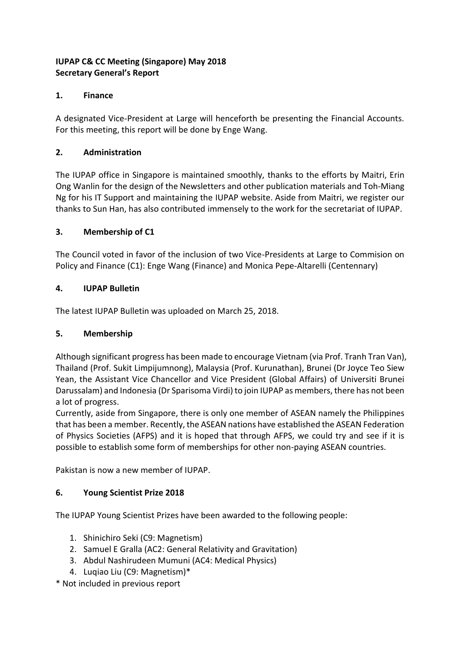# **IUPAP C& CC Meeting (Singapore) May 2018 Secretary General's Report**

### **1. Finance**

A designated Vice-President at Large will henceforth be presenting the Financial Accounts. For this meeting, this report will be done by Enge Wang.

### **2. Administration**

The IUPAP office in Singapore is maintained smoothly, thanks to the efforts by Maitri, Erin Ong Wanlin for the design of the Newsletters and other publication materials and Toh-Miang Ng for his IT Support and maintaining the IUPAP website. Aside from Maitri, we register our thanks to Sun Han, has also contributed immensely to the work for the secretariat of IUPAP.

### **3. Membership of C1**

The Council voted in favor of the inclusion of two Vice-Presidents at Large to Commision on Policy and Finance (C1): Enge Wang (Finance) and Monica Pepe-Altarelli (Centennary)

### **4. IUPAP Bulletin**

The latest IUPAP Bulletin was uploaded on March 25, 2018.

#### **5. Membership**

Although significant progress has been made to encourage Vietnam (via Prof. Tranh Tran Van), Thailand (Prof. Sukit Limpijumnong), Malaysia (Prof. Kurunathan), Brunei (Dr Joyce Teo Siew Yean, the Assistant Vice Chancellor and Vice President (Global Affairs) of Universiti Brunei Darussalam) and Indonesia (Dr Sparisoma Virdi) to join IUPAP as members, there has not been a lot of progress.

Currently, aside from Singapore, there is only one member of ASEAN namely the Philippines that has been a member. Recently, the ASEAN nations have established the ASEAN Federation of Physics Societies (AFPS) and it is hoped that through AFPS, we could try and see if it is possible to establish some form of memberships for other non-paying ASEAN countries.

Pakistan is now a new member of IUPAP.

# **6. Young Scientist Prize 2018**

The IUPAP Young Scientist Prizes have been awarded to the following people:

- 1. Shinichiro Seki (C9: Magnetism)
- 2. Samuel E Gralla (AC2: General Relativity and Gravitation)
- 3. Abdul Nashirudeen Mumuni (AC4: Medical Physics)
- 4. Luqiao Liu (C9: Magnetism)\*

\* Not included in previous report